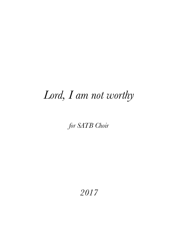## *Lord, I am not worthy*

## *for SATB Choir*

*2017*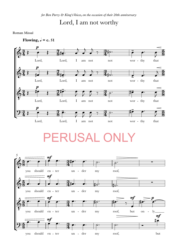## Lord, I am not worthy

Roman Missal



## PERUSAL OI